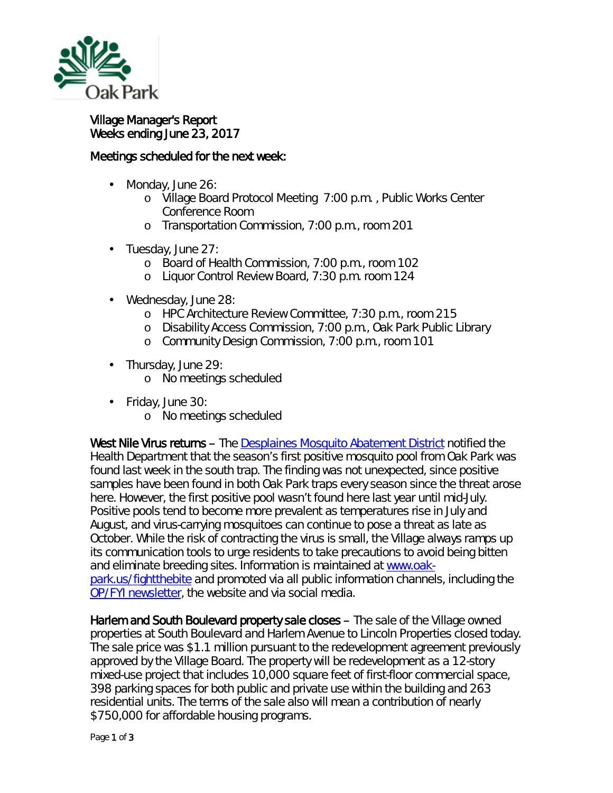

## Village Manager's Report Weeks ending June 23, 2017

## Meetings scheduled for the next week:

- ä, Monday, June 26:
	- o Village Board Protocol Meeting 7:00 p.m. , Public Works Center Conference Room
	- o Transportation Commission, 7:00 p.m., room 201
- Tuesday, June 27:
	- o Board of Health Commission, 7:00 p.m., room 102
	- o Liquor Control Review Board, 7:30 p.m. room 124
- Wednesday, June 28: ä,
	- o HPC Architecture Review Committee, 7:30 p.m., room 215
	- o Disability Access Commission, 7:00 p.m., Oak Park Public Library
	- o Community Design Commission, 7:00 p.m., room 101
- . Thursday, June 29:
	- o No meetings scheduled
- Friday, June 30:
	- o No meetings scheduled

West Nile Virus returns – The [Desplaines Mosquito Abatement District](http://www.desplainesvalleymad.com/) notified the Health Department that the season's first positive mosquito pool from Oak Park was found last week in the south trap. The finding was not unexpected, since positive samples have been found in both Oak Park traps every season since the threat arose here. However, the first positive pool wasn't found here last year until mid-July. Positive pools tend to become more prevalent as temperatures rise in July and August, and virus-carrying mosquitoes can continue to pose a threat as late as October. While the risk of contracting the virus is small, the Village always ramps up its communication tools to urge residents to take precautions to avoid being bitten and eliminate breeding sites. Information is maintained at [www.oak](http://www.oak-park.us/fightthebite)[park.us/fightthebite](http://www.oak-park.us/fightthebite) and promoted via all public information channels, including the [OP/FYI newsletter,](http://www.oak-park.us/newsletters) the website and via social media.

Harlem and South Boulevard property sale closes – The sale of the Village owned properties at South Boulevard and Harlem Avenue to Lincoln Properties closed today. The sale price was \$1.1 million pursuant to the redevelopment agreement previously approved by the Village Board. The property will be redevelopment as a 12-story mixed-use project that includes 10,000 square feet of first-floor commercial space, 398 parking spaces for both public and private use within the building and 263 residential units. The terms of the sale also will mean a contribution of nearly \$750,000 for affordable housing programs.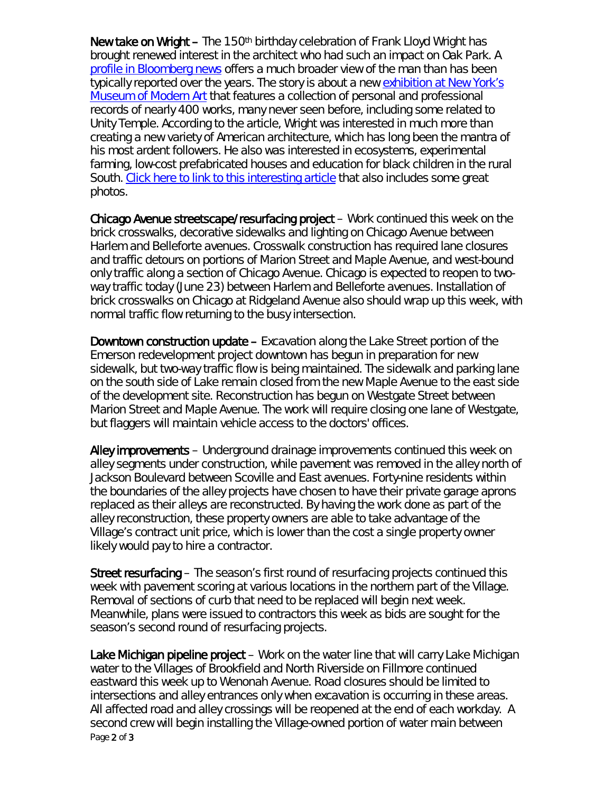New take on Wright – The 150<sup>th</sup> birthday celebration of Frank Lloyd Wright has brought renewed interest in the architect who had such an impact on Oak Park. A [profile in Bloomberg news](https://www.bloomberg.com/news/features/2017-06-22/frank-lloyd-wright-is-not-who-you-think-he-is) offers a much broader view of the man than has been typically reported over the years. The story is about a new exhibition at New York's [Museum of Modern Art](https://www.moma.org/calendar/exhibitions/1660) that features a collection of personal and professional records of nearly 400 works, many never seen before, including some related to Unity Temple. According to the article, Wright was interested in much more than creating a new variety of American architecture, which has long been the mantra of his most ardent followers. He also was interested in ecosystems, experimental farming, low-cost prefabricated houses and education for black children in the rural South. [Click here to link to this](https://www.bloomberg.com/news/features/2017-06-22/frank-lloyd-wright-is-not-who-you-think-he-is) interesting article that also includes some great photos.

Chicago Avenue streetscape/resurfacing project – Work continued this week on the brick crosswalks, decorative sidewalks and lighting on Chicago Avenue between Harlem and Belleforte avenues. Crosswalk construction has required lane closures and traffic detours on portions of Marion Street and Maple Avenue, and west-bound only traffic along a section of Chicago Avenue. Chicago is expected to reopen to twoway traffic today (June 23) between Harlem and Belleforte avenues. Installation of brick crosswalks on Chicago at Ridgeland Avenue also should wrap up this week, with normal traffic flow returning to the busy intersection.

Downtown construction update – Excavation along the Lake Street portion of the Emerson redevelopment project downtown has begun in preparation for new sidewalk, but two-way traffic flow is being maintained. The sidewalk and parking lane on the south side of Lake remain closed from the new Maple Avenue to the east side of the development site. Reconstruction has begun on Westgate Street between Marion Street and Maple Avenue. The work will require closing one lane of Westgate, but flaggers will maintain vehicle access to the doctors' offices.

Alley improvements – Underground drainage improvements continued this week on alley segments under construction, while pavement was removed in the alley north of Jackson Boulevard between Scoville and East avenues. Forty-nine residents within the boundaries of the alley projects have chosen to have their private garage aprons replaced as their alleys are reconstructed. By having the work done as part of the alley reconstruction, these property owners are able to take advantage of the Village's contract unit price, which is lower than the cost a single property owner likely would pay to hire a contractor.

Street resurfacing – The season's first round of resurfacing projects continued this week with pavement scoring at various locations in the northern part of the Village. Removal of sections of curb that need to be replaced will begin next week. Meanwhile, plans were issued to contractors this week as bids are sought for the season's second round of resurfacing projects.

Page 2 of 3 Lake Michigan pipeline project – Work on the water line that will carry Lake Michigan water to the Villages of Brookfield and North Riverside on Fillmore continued eastward this week up to Wenonah Avenue. Road closures should be limited to intersections and alley entrances only when excavation is occurring in these areas. All affected road and alley crossings will be reopened at the end of each workday. A second crew will begin installing the Village-owned portion of water main between